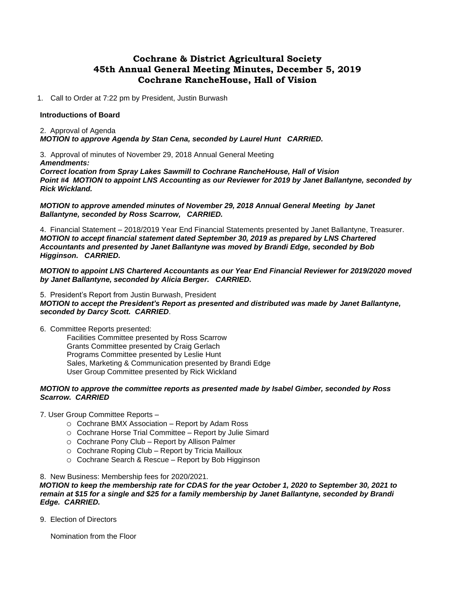# **Cochrane & District Agricultural Society 45th Annual General Meeting Minutes, December 5, 2019 Cochrane RancheHouse, Hall of Vision**

1. Call to Order at 7:22 pm by President, Justin Burwash

#### **Introductions of Board**

2. Approval of Agenda *MOTION to approve Agenda by Stan Cena, seconded by Laurel Hunt CARRIED.*

3. Approval of minutes of November 29, 2018 Annual General Meeting *Amendments:*

*Correct location from Spray Lakes Sawmill to Cochrane RancheHouse, Hall of Vision Point #4 MOTION to appoint LNS Accounting as our Reviewer for 2019 by Janet Ballantyne, seconded by Rick Wickland.*

*MOTION to approve amended minutes of November 29, 2018 Annual General Meeting by Janet Ballantyne, seconded by Ross Scarrow, CARRIED.*

4. Financial Statement – 2018/2019 Year End Financial Statements presented by Janet Ballantyne, Treasurer. *MOTION to accept financial statement dated September 30, 2019 as prepared by LNS Chartered Accountants and presented by Janet Ballantyne was moved by Brandi Edge, seconded by Bob Higginson. CARRIED.*

*MOTION to appoint LNS Chartered Accountants as our Year End Financial Reviewer for 2019/2020 moved by Janet Ballantyne, seconded by Alicia Berger. CARRIED.*

5. President's Report from Justin Burwash, President *MOTION to accept the President's Report as presented and distributed was made by Janet Ballantyne, seconded by Darcy Scott. CARRIED*.

6. Committee Reports presented:

Facilities Committee presented by Ross Scarrow Grants Committee presented by Craig Gerlach Programs Committee presented by Leslie Hunt Sales, Marketing & Communication presented by Brandi Edge User Group Committee presented by Rick Wickland

### *MOTION to approve the committee reports as presented made by Isabel Gimber, seconded by Ross Scarrow. CARRIED*

7. User Group Committee Reports –

- o Cochrane BMX Association Report by Adam Ross
- o Cochrane Horse Trial Committee Report by Julie Simard
- o Cochrane Pony Club Report by Allison Palmer
- o Cochrane Roping Club Report by Tricia Mailloux
- o Cochrane Search & Rescue Report by Bob Higginson

8. New Business: Membership fees for 2020/2021.

*MOTION to keep the membership rate for CDAS for the year October 1, 2020 to September 30, 2021 to remain at \$15 for a single and \$25 for a family membership by Janet Ballantyne, seconded by Brandi Edge. CARRIED.*

9. Election of Directors

Nomination from the Floor